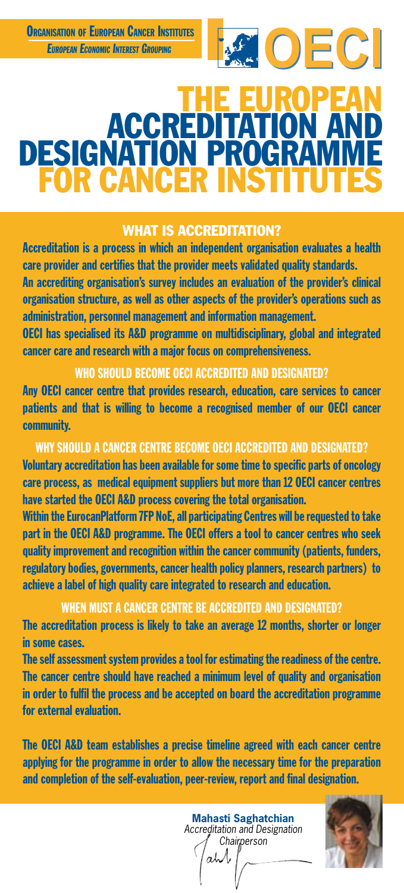

# THE EUROPEAN ACCREDITATION AND DESIGNATION PROGRAM FOR CANCER.  $\overline{\phantom{0}}$

### WHAT IS ACCREDITATION?

Accreditation is a process in which an independent organisation evaluates a health care provider and certifies that the provider meets validated quality standards.

An accrediting organisation's survey includes an evaluation of the provider's clinical organisation structure, as well as other aspects of the provider's operations such as administration, personnel management and information management.

OECI has specialised its A&D programme on multidisciplinary, global and integrated cancer care and research with a major focus on comprehensiveness.

#### WHO SHOULD BECOME OECI ACCREDITED AND DESIGNATED?

Any OECI cancer centre that provides research, education, care services to cancer patients and that is willing to become a recognised member of our OECI cancer community.

### WHY SHOULD A CANCER CENTRE BECOME OECI ACCREDITED AND DESIGNATED?

Voluntary accreditation has been available for some time to specific parts of oncology care process, as medical equipment suppliers but more than 12 OECI cancer centres have started the OECI A&D process covering the total organisation.

Within the EurocanPlatform 7FP NoE, all participating Centres will be requested to take part in the OECI A&D programme. The OECI offers a tool to cancer centres who seek quality improvement and recognition within the cancer community (patients, funders, regulatory bodies, governments, cancer health policy planners, research partners) to achieve a label of high quality care integrated to research and education.

## WHEN MUST A CANCER CENTRE BE ACCREDITED AND DESIGNATED?

The accreditation process is likely to take an average 12 months, shorter or longer in some cases.

The self assessment system provides a tool for estimating the readiness of the centre. The cancer centre should have reached a minimum level of quality and organisation in order to fulfil the process and be accepted on board the accreditation programme for external evaluation.

The OECI A&D team establishes a precise timeline agreed with each cancer centre applying for the programme in order to allow the necessary time for the preparation and completion of the self-evaluation, peer-review, report and final designation.

> **Mahasti Saghatchian** *Accreditation and Designation Chairperson*